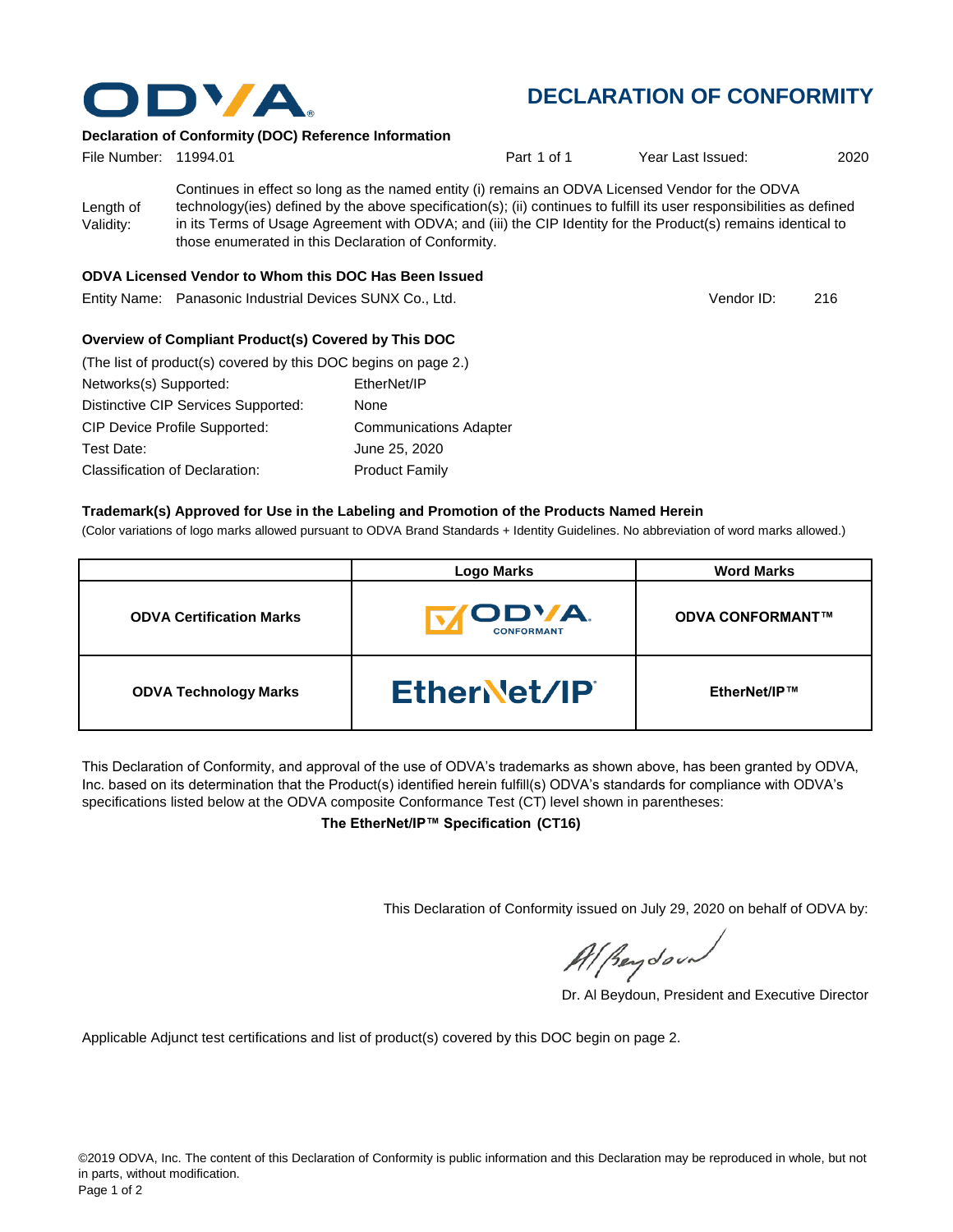

## **DECLARATION OF CONFORMITY**

#### **Declaration of Conformity (DOC) Reference Information**

| File Number: 11994.01  |                                                                                                                                                                                                                                                                                                                                                                                                   | Part 1 of 1 | Year Last Issued: | 2020 |
|------------------------|---------------------------------------------------------------------------------------------------------------------------------------------------------------------------------------------------------------------------------------------------------------------------------------------------------------------------------------------------------------------------------------------------|-------------|-------------------|------|
| Length of<br>Validity: | Continues in effect so long as the named entity (i) remains an ODVA Licensed Vendor for the ODVA<br>technology(ies) defined by the above specification(s); (ii) continues to fulfill its user responsibilities as defined<br>in its Terms of Usage Agreement with ODVA; and (iii) the CIP Identity for the Product(s) remains identical to<br>those enumerated in this Declaration of Conformity. |             |                   |      |
|                        | ODVA Licensed Vendor to Whom this DOC Has Been Issued                                                                                                                                                                                                                                                                                                                                             |             |                   |      |
|                        | Entity Name: Panasonic Industrial Devices SUNX Co., Ltd.                                                                                                                                                                                                                                                                                                                                          |             | Vendor ID:        | 216  |

#### **Overview of Compliant Product(s) Covered by This DOC**

| (The list of product(s) covered by this DOC begins on page 2.) |                               |
|----------------------------------------------------------------|-------------------------------|
| Networks(s) Supported:                                         | EtherNet/IP                   |
| Distinctive CIP Services Supported:                            | None                          |
| <b>CIP Device Profile Supported:</b>                           | <b>Communications Adapter</b> |
| Test Date:                                                     | June 25, 2020                 |
| Classification of Declaration:                                 | <b>Product Family</b>         |

#### **Trademark(s) Approved for Use in the Labeling and Promotion of the Products Named Herein**

(Color variations of logo marks allowed pursuant to ODVA Brand Standards + Identity Guidelines. No abbreviation of word marks allowed.)

|                                 | <b>Logo Marks</b>                  | <b>Word Marks</b>       |
|---------------------------------|------------------------------------|-------------------------|
| <b>ODVA Certification Marks</b> | <b>IODVA.</b><br><b>CONFORMANT</b> | <b>ODVA CONFORMANT™</b> |
| <b>ODVA Technology Marks</b>    | EtherNet/IP                        | EtherNet/IP™            |

This Declaration of Conformity, and approval of the use of ODVA's trademarks as shown above, has been granted by ODVA, Inc. based on its determination that the Product(s) identified herein fulfill(s) ODVA's standards for compliance with ODVA's specifications listed below at the ODVA composite Conformance Test (CT) level shown in parentheses:

**The EtherNet/IP™ Specification (CT16)**

This Declaration of Conformity issued on July 29, 2020 on behalf of ODVA by:

Al peydound

Dr. Al Beydoun, President and Executive Director

Applicable Adjunct test certifications and list of product(s) covered by this DOC begin on page 2.